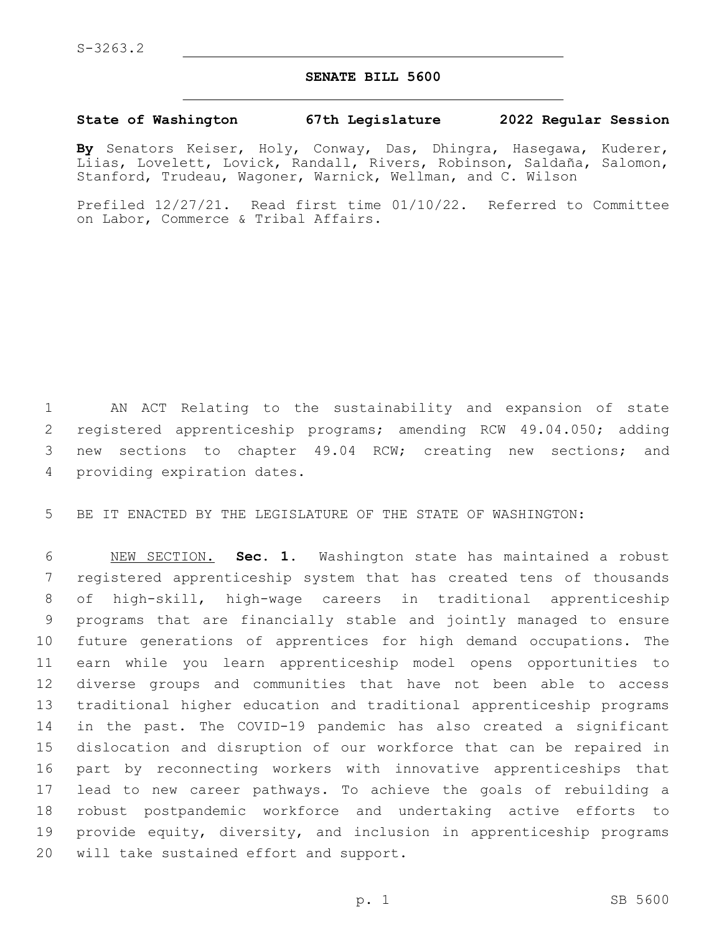## **SENATE BILL 5600**

## **State of Washington 67th Legislature 2022 Regular Session**

**By** Senators Keiser, Holy, Conway, Das, Dhingra, Hasegawa, Kuderer, Liias, Lovelett, Lovick, Randall, Rivers, Robinson, Saldaña, Salomon, Stanford, Trudeau, Wagoner, Warnick, Wellman, and C. Wilson

Prefiled 12/27/21. Read first time 01/10/22. Referred to Committee on Labor, Commerce & Tribal Affairs.

 AN ACT Relating to the sustainability and expansion of state 2 registered apprenticeship programs; amending RCW 49.04.050; adding new sections to chapter 49.04 RCW; creating new sections; and 4 providing expiration dates.

BE IT ENACTED BY THE LEGISLATURE OF THE STATE OF WASHINGTON:

 NEW SECTION. **Sec. 1.** Washington state has maintained a robust registered apprenticeship system that has created tens of thousands of high-skill, high-wage careers in traditional apprenticeship programs that are financially stable and jointly managed to ensure future generations of apprentices for high demand occupations. The earn while you learn apprenticeship model opens opportunities to diverse groups and communities that have not been able to access traditional higher education and traditional apprenticeship programs in the past. The COVID-19 pandemic has also created a significant dislocation and disruption of our workforce that can be repaired in part by reconnecting workers with innovative apprenticeships that lead to new career pathways. To achieve the goals of rebuilding a robust postpandemic workforce and undertaking active efforts to provide equity, diversity, and inclusion in apprenticeship programs will take sustained effort and support.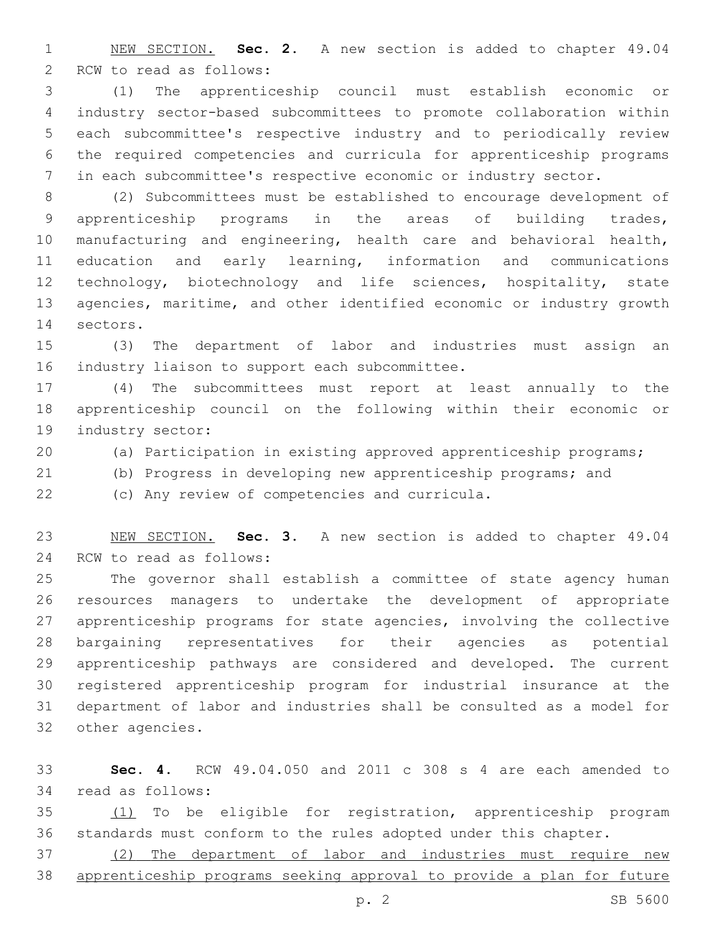NEW SECTION. **Sec. 2.** A new section is added to chapter 49.04 2 RCW to read as follows:

 (1) The apprenticeship council must establish economic or industry sector-based subcommittees to promote collaboration within each subcommittee's respective industry and to periodically review the required competencies and curricula for apprenticeship programs in each subcommittee's respective economic or industry sector.

 (2) Subcommittees must be established to encourage development of apprenticeship programs in the areas of building trades, manufacturing and engineering, health care and behavioral health, education and early learning, information and communications technology, biotechnology and life sciences, hospitality, state agencies, maritime, and other identified economic or industry growth 14 sectors.

 (3) The department of labor and industries must assign an 16 industry liaison to support each subcommittee.

 (4) The subcommittees must report at least annually to the apprenticeship council on the following within their economic or 19 industry sector:

- (a) Participation in existing approved apprenticeship programs;
- (b) Progress in developing new apprenticeship programs; and

(c) Any review of competencies and curricula.22

 NEW SECTION. **Sec. 3.** A new section is added to chapter 49.04 24 RCW to read as follows:

 The governor shall establish a committee of state agency human resources managers to undertake the development of appropriate apprenticeship programs for state agencies, involving the collective bargaining representatives for their agencies as potential apprenticeship pathways are considered and developed. The current registered apprenticeship program for industrial insurance at the department of labor and industries shall be consulted as a model for 32 other agencies.

 **Sec. 4.** RCW 49.04.050 and 2011 c 308 s 4 are each amended to 34 read as follows:

 (1) To be eligible for registration, apprenticeship program standards must conform to the rules adopted under this chapter.

 (2) The department of labor and industries must require new apprenticeship programs seeking approval to provide a plan for future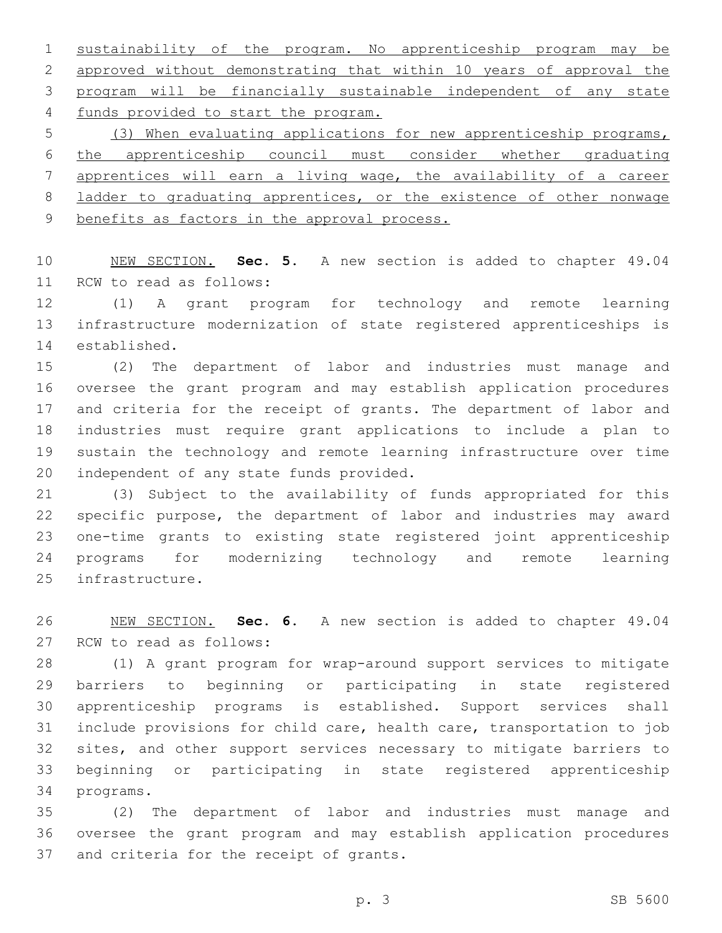sustainability of the program. No apprenticeship program may be approved without demonstrating that within 10 years of approval the program will be financially sustainable independent of any state 4 funds provided to start the program.

 (3) When evaluating applications for new apprenticeship programs, the apprenticeship council must consider whether graduating apprentices will earn a living wage, the availability of a career ladder to graduating apprentices, or the existence of other nonwage benefits as factors in the approval process.

 NEW SECTION. **Sec. 5.** A new section is added to chapter 49.04 11 RCW to read as follows:

 (1) A grant program for technology and remote learning infrastructure modernization of state registered apprenticeships is 14 established.

 (2) The department of labor and industries must manage and oversee the grant program and may establish application procedures and criteria for the receipt of grants. The department of labor and industries must require grant applications to include a plan to sustain the technology and remote learning infrastructure over time 20 independent of any state funds provided.

 (3) Subject to the availability of funds appropriated for this specific purpose, the department of labor and industries may award one-time grants to existing state registered joint apprenticeship programs for modernizing technology and remote learning 25 infrastructure.

 NEW SECTION. **Sec. 6.** A new section is added to chapter 49.04 27 RCW to read as follows:

 (1) A grant program for wrap-around support services to mitigate barriers to beginning or participating in state registered apprenticeship programs is established. Support services shall include provisions for child care, health care, transportation to job sites, and other support services necessary to mitigate barriers to beginning or participating in state registered apprenticeship 34 programs.

 (2) The department of labor and industries must manage and oversee the grant program and may establish application procedures 37 and criteria for the receipt of grants.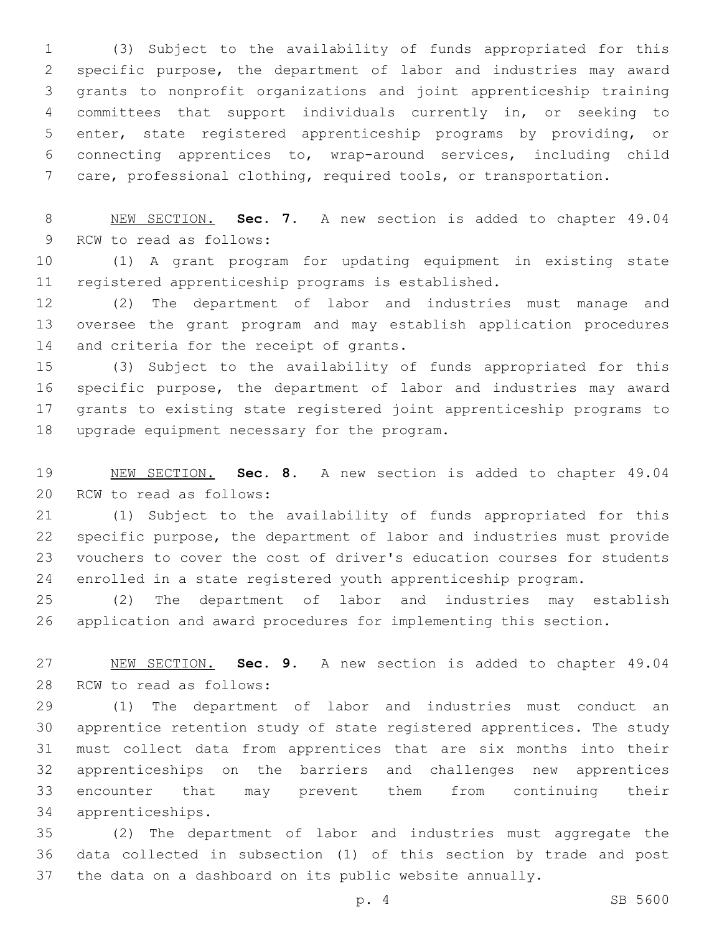(3) Subject to the availability of funds appropriated for this specific purpose, the department of labor and industries may award grants to nonprofit organizations and joint apprenticeship training committees that support individuals currently in, or seeking to enter, state registered apprenticeship programs by providing, or connecting apprentices to, wrap-around services, including child care, professional clothing, required tools, or transportation.

 NEW SECTION. **Sec. 7.** A new section is added to chapter 49.04 9 RCW to read as follows:

 (1) A grant program for updating equipment in existing state registered apprenticeship programs is established.

 (2) The department of labor and industries must manage and oversee the grant program and may establish application procedures 14 and criteria for the receipt of grants.

 (3) Subject to the availability of funds appropriated for this specific purpose, the department of labor and industries may award grants to existing state registered joint apprenticeship programs to 18 upgrade equipment necessary for the program.

 NEW SECTION. **Sec. 8.** A new section is added to chapter 49.04 20 RCW to read as follows:

 (1) Subject to the availability of funds appropriated for this specific purpose, the department of labor and industries must provide vouchers to cover the cost of driver's education courses for students enrolled in a state registered youth apprenticeship program.

 (2) The department of labor and industries may establish application and award procedures for implementing this section.

 NEW SECTION. **Sec. 9.** A new section is added to chapter 49.04 28 RCW to read as follows:

 (1) The department of labor and industries must conduct an apprentice retention study of state registered apprentices. The study must collect data from apprentices that are six months into their apprenticeships on the barriers and challenges new apprentices encounter that may prevent them from continuing their apprenticeships.34

 (2) The department of labor and industries must aggregate the data collected in subsection (1) of this section by trade and post the data on a dashboard on its public website annually.